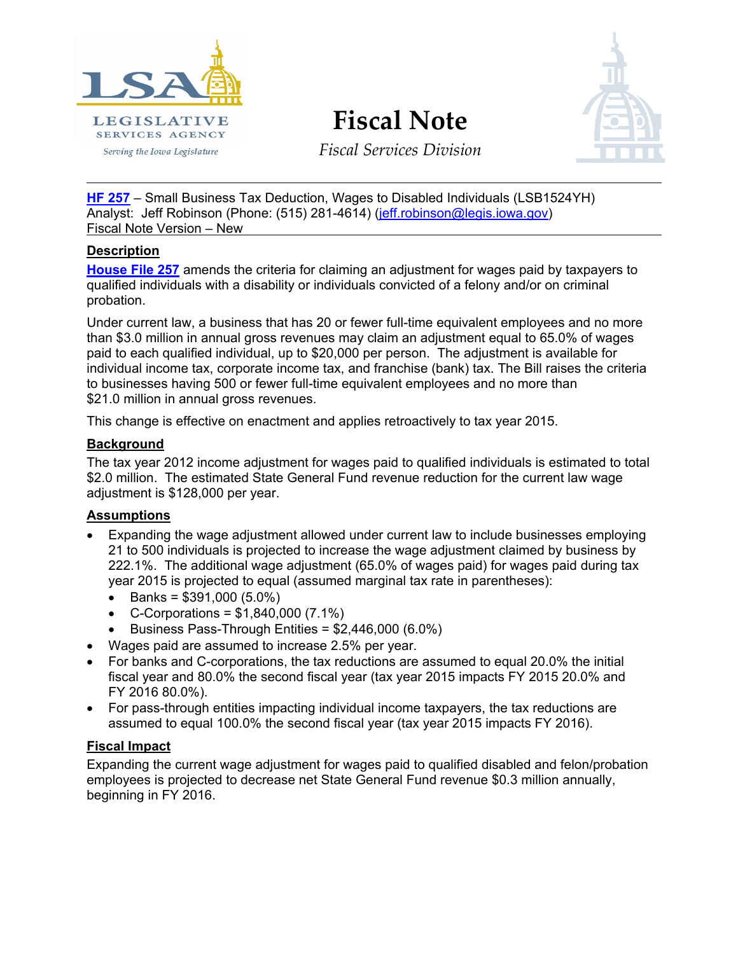

# **Fiscal Note**



*Fiscal Services Division*

**[HF 257](http://coolice.legis.iowa.gov/Cool-ICE/default.asp?Category=billinfo&Service=Billbook&menu=false&hbill=hf257)** – Small Business Tax Deduction, Wages to Disabled Individuals (LSB1524YH) Analyst: Jeff Robinson (Phone: (515) 281-4614) [\(jeff.robinson@legis.iowa.gov\)](mailto:jeff.robinson@legis.iowa.gov) Fiscal Note Version – New

# **Description**

**[House File 257](http://coolice.legis.iowa.gov/Cool-ICE/default.asp?Category=billinfo&Service=Billbook&menu=false&hbill=hf257)** amends the criteria for claiming an adjustment for wages paid by taxpayers to qualified individuals with a disability or individuals convicted of a felony and/or on criminal probation.

Under current law, a business that has 20 or fewer full-time equivalent employees and no more than \$3.0 million in annual gross revenues may claim an adjustment equal to 65.0% of wages paid to each qualified individual, up to \$20,000 per person. The adjustment is available for individual income tax, corporate income tax, and franchise (bank) tax. The Bill raises the criteria to businesses having 500 or fewer full-time equivalent employees and no more than \$21.0 million in annual gross revenues.

This change is effective on enactment and applies retroactively to tax year 2015.

# **Background**

The tax year 2012 income adjustment for wages paid to qualified individuals is estimated to total \$2.0 million. The estimated State General Fund revenue reduction for the current law wage adjustment is \$128,000 per year.

#### **Assumptions**

- Expanding the wage adjustment allowed under current law to include businesses employing 21 to 500 individuals is projected to increase the wage adjustment claimed by business by 222.1%. The additional wage adjustment (65.0% of wages paid) for wages paid during tax year 2015 is projected to equal (assumed marginal tax rate in parentheses):
	- Banks =  $$391,000 (5.0%)$
	- C-Corporations =  $$1,840,000$  (7.1%)
	- Business Pass-Through Entities = \$2,446,000 (6.0%)
- Wages paid are assumed to increase 2.5% per year.
- For banks and C-corporations, the tax reductions are assumed to equal 20.0% the initial fiscal year and 80.0% the second fiscal year (tax year 2015 impacts FY 2015 20.0% and FY 2016 80.0%).
- For pass-through entities impacting individual income taxpayers, the tax reductions are assumed to equal 100.0% the second fiscal year (tax year 2015 impacts FY 2016).

# **Fiscal Impact**

Expanding the current wage adjustment for wages paid to qualified disabled and felon/probation employees is projected to decrease net State General Fund revenue \$0.3 million annually, beginning in FY 2016.